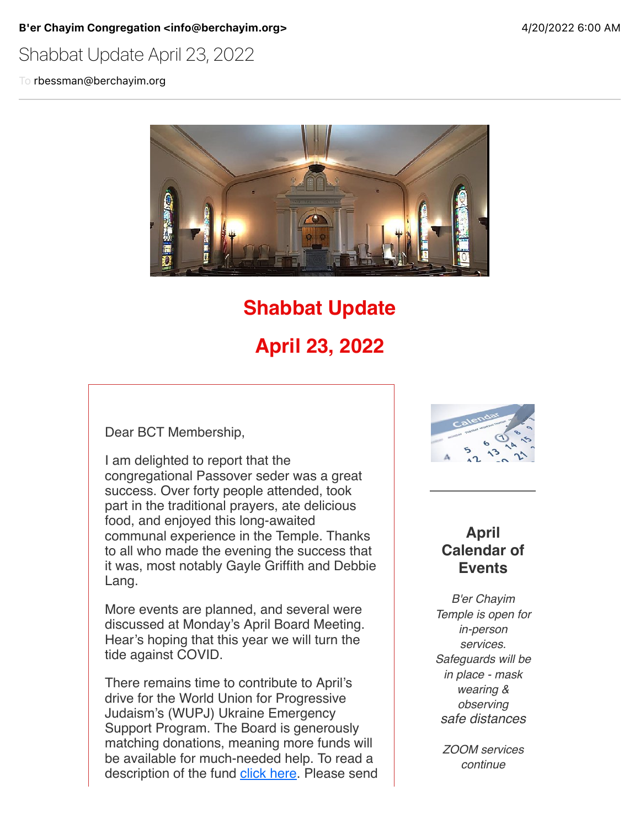### Shabbat Update April 23, 2022

To rbessman@berchayim.org



# **Shabbat Update**

## **April 23, 2022**

Dear BCT Membership,

I am delighted to report that the congregational Passover seder was a great success. Over forty people attended, took part in the traditional prayers, ate delicious food, and enjoyed this long-awaited communal experience in the Temple. Thanks to all who made the evening the success that it was, most notably Gayle Griffith and Debbie Lang.

More events are planned, and several were discussed at Monday's April Board Meeting. Hear's hoping that this year we will turn the tide against COVID.

There remains time to contribute to April's drive for the World Union for Progressive Judaism's (WUPJ) Ukraine Emergency Support Program. The Board is generously matching donations, meaning more funds will be available for much-needed help. To read a description of the fund [click here.](https://click.icptrack.com/icp/relay.php?r=119985007&msgid=900988&act=4970&c=592337&pid=8602730&destination=https%3A%2F%2Fwupj.org%2Fnews%2F2022%2F03%2F52184%2Fwupj-and-eupj-launch-ukraine-emergency-support-program%2F&cf=5618&v=9ee37ef327f77193208a0df851f7d0c560fec3785e27c81d812b1ef311ab5650) Please send



#### **April Calendar of Events**

*B'er Chayim Temple is open for in-person services. Safeguards will be in place - mask wearing & observing safe distances*

*ZOOM services continue*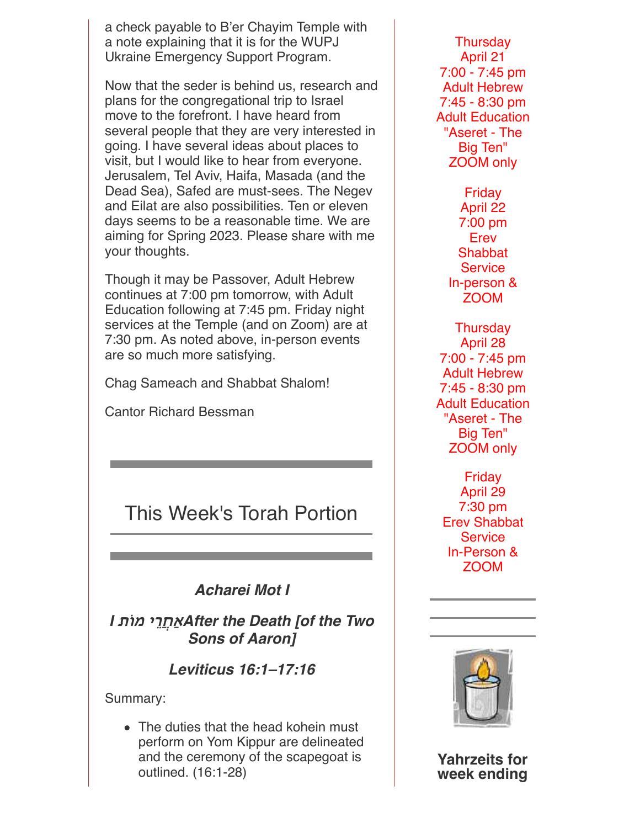a check payable to B'er Chayim Temple with a note explaining that it is for the WUPJ Ukraine Emergency Support Program.

Now that the seder is behind us, research and plans for the congregational trip to Israel move to the forefront. I have heard from several people that they are very interested in going. I have several ideas about places to visit, but I would like to hear from everyone. Jerusalem, Tel Aviv, Haifa, Masada (and the Dead Sea), Safed are must-sees. The Negev and Eilat are also possibilities. Ten or eleven days seems to be a reasonable time. We are aiming for Spring 2023. Please share with me your thoughts.

Though it may be Passover, Adult Hebrew continues at 7:00 pm tomorrow, with Adult Education following at 7:45 pm. Friday night services at the Temple (and on Zoom) are at 7:30 pm. As noted above, in-person events are so much more satisfying.

Chag Sameach and Shabbat Shalom!

Cantor Richard Bessman

This Week's Torah Portion

*Acharei Mot I*

*I* **ת"מ י%ֲחַא***After the Death [of the Two Sons of Aaron]*

*Leviticus 16:1–17:16*

Summary:

• The duties that the head kohein must perform on Yom Kippur are delineated and the ceremony of the scapegoat is outlined. (16:1-28)

**Thursday** April 21 7:00 - 7:45 pm Adult Hebrew 7:45 - 8:30 pm Adult Education "Aseret - The Big Ten" ZOOM only

> Friday April 22 7:00 pm Erev **Shabbat Service** In-person & ZOOM

**Thursday** April 28 7:00 - 7:45 pm Adult Hebrew 7:45 - 8:30 pm Adult Education "Aseret - The Big Ten" ZOOM only

Friday April 29 7:30 pm Erev Shabbat **Service** In-Person & ZOOM



**Yahrzeits for week ending**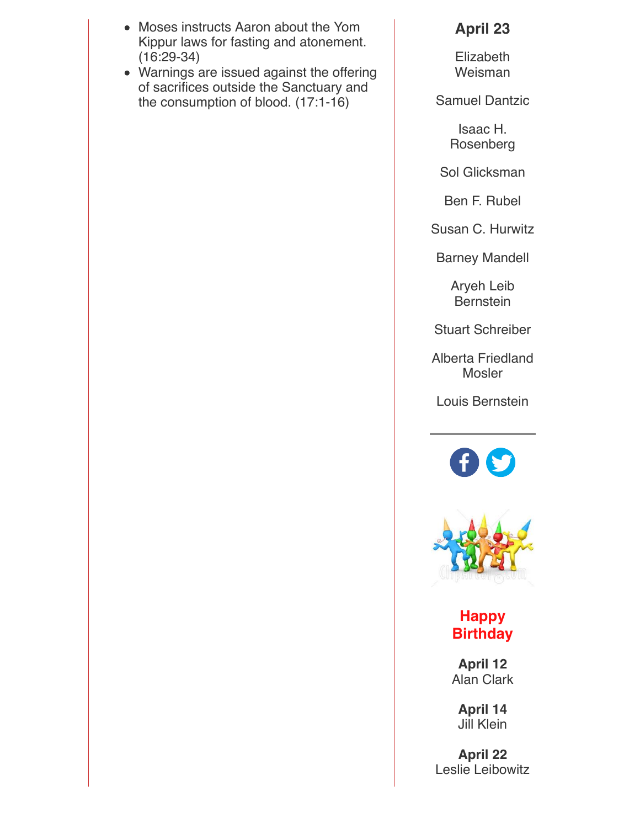- Moses instructs Aaron about the Yom Kippur laws for fasting and atonement. (16:29-34)
- Warnings are issued against the offering of sacrifices outside the Sanctuary and the consumption of blood. (17:1-16)

### **April 23**

Elizabeth Weisman

Samuel Dantzic

Isaac H. Rosenberg

Sol Glicksman

Ben F. Rubel

Susan C. Hurwitz

Barney Mandell

Aryeh Leib **Bernstein** 

Stuart Schreiber

Alberta Friedland **Mosler** 

Louis Bernstein





**Happy Birthday**

**April 12** Alan Clark

**April 14** Jill Klein

**April 22** Leslie Leibowitz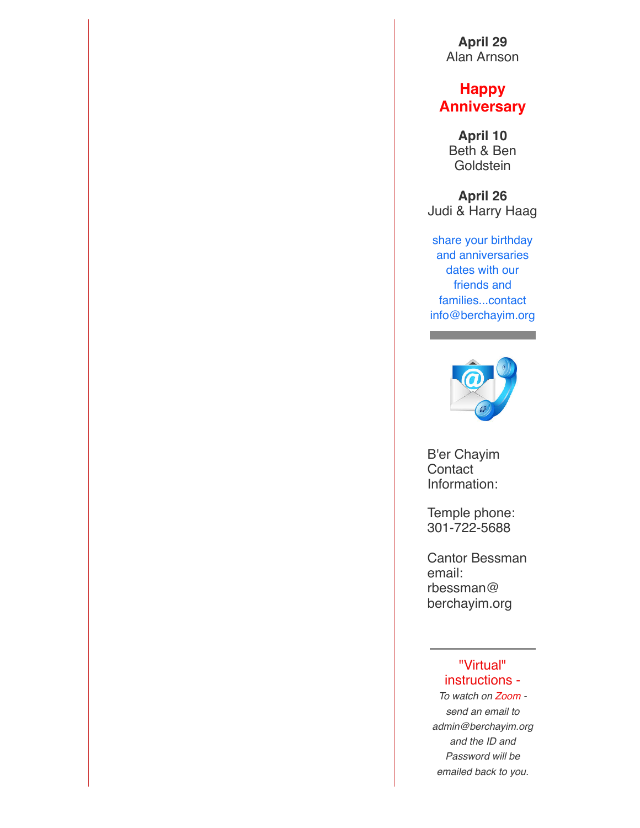**April 29** Alan Arnson

#### **Happy Anniversary**

**April 10** Beth & Ben **Goldstein** 

**April 26** Judi & Harry Haag

share your birthday and anniversaries dates with our friends and families...contact info@berchayim.org



B'er Chayim **Contact** Information:

Temple phone: 301-722-5688

Cantor Bessman email: rbessman@ berchayim.org

#### "Virtual" instructions -

*To watch on Zoom send an email to admin@berchayim.org and the ID and Password will be emailed back to you.*